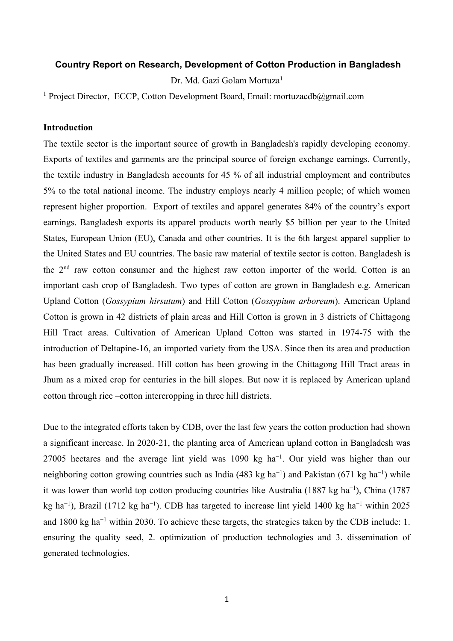# **Country Report on Research, Development of Cotton Production in Bangladesh**

Dr. Md. Gazi Golam Mortuza<sup>1</sup>

<sup>1</sup> Project Director, ECCP, Cotton Development Board, Email: mortuzacdb@gmail.com

# **Introduction**

The textile sector is the important source of growth in Bangladesh's rapidly developing economy. Exports of textiles and garments are the principal source of foreign exchange earnings. Currently, the textile industry in Bangladesh accounts for 45 % of all industrial employment and contributes 5% to the total national income. The industry employs nearly 4 million people; of which women represent higher proportion. Export of textiles and apparel generates 84% of the country's export earnings. Bangladesh exports its apparel products worth nearly \$5 billion per year to the United States, European Union (EU), Canada and other countries. It is the 6th largest apparel supplier to the United States and EU countries. The basic raw material of textile sector is cotton. Bangladesh is the 2nd raw cotton consumer and the highest raw cotton importer of the world. Cotton is an important cash crop of Bangladesh. Two types of cotton are grown in Bangladesh e.g. American Upland Cotton (*Gossypium hirsutum*) and Hill Cotton (*Gossypium arboreum*). American Upland Cotton is grown in 42 districts of plain areas and Hill Cotton is grown in 3 districts of Chittagong Hill Tract areas. Cultivation of American Upland Cotton was started in 1974-75 with the introduction of Deltapine-16, an imported variety from the USA. Since then its area and production has been gradually increased. Hill cotton has been growing in the Chittagong Hill Tract areas in Jhum as a mixed crop for centuries in the hill slopes. But now it is replaced by American upland cotton through rice –cotton intercropping in three hill districts.

Due to the integrated efforts taken by CDB, over the last few years the cotton production had shown a significant increase. In 2020-21, the planting area of American upland cotton in Bangladesh was 27005 hectares and the average lint yield was 1090 kg ha<sup>-1</sup>. Our yield was higher than our neighboring cotton growing countries such as India (483 kg ha<sup>-1</sup>) and Pakistan (671 kg ha<sup>-1</sup>) while it was lower than world top cotton producing countries like Australia (1887 kg ha−1 ), China (1787 kg ha<sup>-1</sup>), Brazil (1712 kg ha<sup>-1</sup>). CDB has targeted to increase lint yield 1400 kg ha<sup>-1</sup> within 2025 and 1800 kg ha−1 within 2030. To achieve these targets, the strategies taken by the CDB include: 1. ensuring the quality seed, 2. optimization of production technologies and 3. dissemination of generated technologies.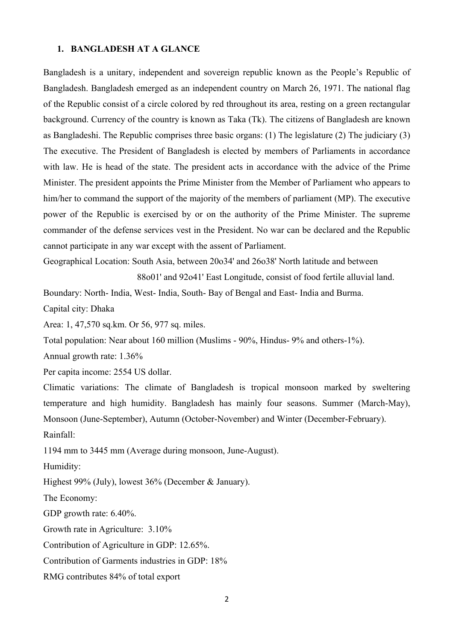#### **1. BANGLADESH AT A GLANCE**

Bangladesh is a unitary, independent and sovereign republic known as the People's Republic of Bangladesh. Bangladesh emerged as an independent country on March 26, 1971. The national flag of the Republic consist of a circle colored by red throughout its area, resting on a green rectangular background. Currency of the country is known as Taka (Tk). The citizens of Bangladesh are known as Bangladeshi. The Republic comprises three basic organs: (1) The legislature (2) The judiciary (3) The executive. The President of Bangladesh is elected by members of Parliaments in accordance with law. He is head of the state. The president acts in accordance with the advice of the Prime Minister. The president appoints the Prime Minister from the Member of Parliament who appears to him/her to command the support of the majority of the members of parliament (MP). The executive power of the Republic is exercised by or on the authority of the Prime Minister. The supreme commander of the defense services vest in the President. No war can be declared and the Republic cannot participate in any war except with the assent of Parliament.

Geographical Location: South Asia, between 20o34' and 26o38' North latitude and between

88o01' and 92o41' East Longitude, consist of food fertile alluvial land.

Boundary: North- India, West- India, South- Bay of Bengal and East- India and Burma.

Capital city: Dhaka

Area: 1, 47,570 sq.km. Or 56, 977 sq. miles.

Total population: Near about 160 million (Muslims - 90%, Hindus- 9% and others-1%).

Annual growth rate: 1.36%

Per capita income: 2554 US dollar.

Climatic variations: The climate of Bangladesh is tropical monsoon marked by sweltering temperature and high humidity. Bangladesh has mainly four seasons. Summer (March-May), Monsoon (June-September), Autumn (October-November) and Winter (December-February).

Rainfall:

1194 mm to 3445 mm (Average during monsoon, June-August).

Humidity:

Highest 99% (July), lowest 36% (December & January).

The Economy:

GDP growth rate: 6.40%.

Growth rate in Agriculture: 3.10%

Contribution of Agriculture in GDP: 12.65%.

Contribution of Garments industries in GDP: 18%

RMG contributes 84% of total export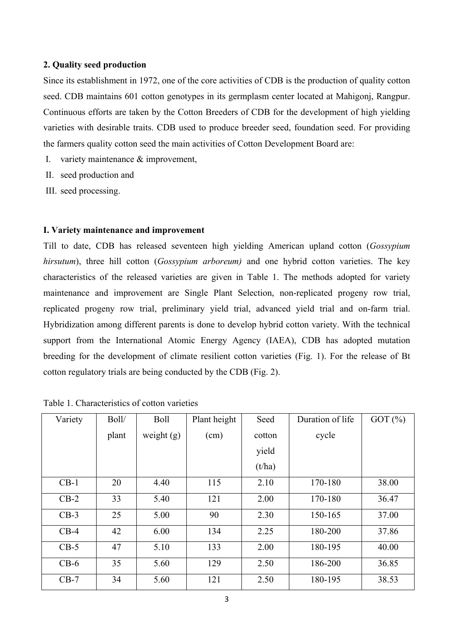# **2. Quality seed production**

Since its establishment in 1972, one of the core activities of CDB is the production of quality cotton seed. CDB maintains 601 cotton genotypes in its germplasm center located at Mahigonj, Rangpur. Continuous efforts are taken by the Cotton Breeders of CDB for the development of high yielding varieties with desirable traits. CDB used to produce breeder seed, foundation seed. For providing the farmers quality cotton seed the main activities of Cotton Development Board are:

- I. variety maintenance & improvement,
- II. seed production and
- III. seed processing.

## **I. Variety maintenance and improvement**

Till to date, CDB has released seventeen high yielding American upland cotton (*Gossypium hirsutum*), three hill cotton (*Gossypium arboreum)* and one hybrid cotton varieties. The key characteristics of the released varieties are given in Table 1. The methods adopted for variety maintenance and improvement are Single Plant Selection, non-replicated progeny row trial, replicated progeny row trial, preliminary yield trial, advanced yield trial and on-farm trial. Hybridization among different parents is done to develop hybrid cotton variety. With the technical support from the International Atomic Energy Agency (IAEA), CDB has adopted mutation breeding for the development of climate resilient cotton varieties (Fig. 1). For the release of Bt cotton regulatory trials are being conducted by the CDB (Fig. 2).

| Variety | Boll/ | <b>Boll</b>  | Plant height | Seed   | Duration of life | GOT $(\%)$ |
|---------|-------|--------------|--------------|--------|------------------|------------|
|         | plant | weight $(g)$ | (cm)         | cotton | cycle            |            |
|         |       |              |              | yield  |                  |            |
|         |       |              |              | (t/ha) |                  |            |
| $CB-1$  | 20    | 4.40         | 115          | 2.10   | 170-180          | 38.00      |
| $CB-2$  | 33    | 5.40         | 121          | 2.00   | 170-180          | 36.47      |
| $CB-3$  | 25    | 5.00         | 90           | 2.30   | 150-165          | 37.00      |
| $CB-4$  | 42    | 6.00         | 134          | 2.25   | 180-200          | 37.86      |
| $CB-5$  | 47    | 5.10         | 133          | 2.00   | 180-195          | 40.00      |
| $CB-6$  | 35    | 5.60         | 129          | 2.50   | 186-200          | 36.85      |
| $CB-7$  | 34    | 5.60         | 121          | 2.50   | 180-195          | 38.53      |

Table 1. Characteristics of cotton varieties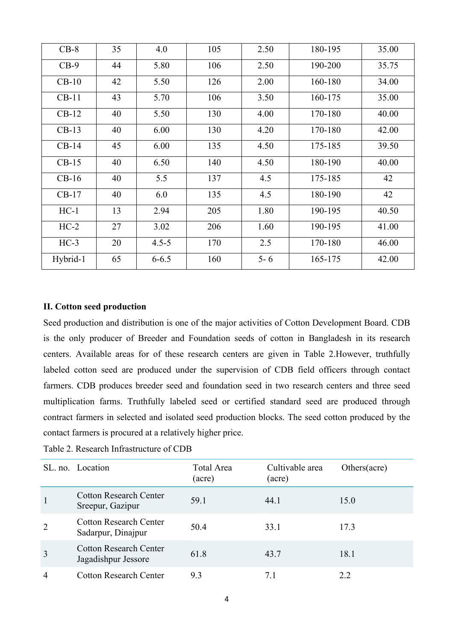| $CB-8$   | 35 | 4.0       | 105 | 2.50    | 180-195 | 35.00 |
|----------|----|-----------|-----|---------|---------|-------|
| $CB-9$   | 44 | 5.80      | 106 | 2.50    | 190-200 | 35.75 |
| $CB-10$  | 42 | 5.50      | 126 | 2.00    | 160-180 | 34.00 |
| $CB-11$  | 43 | 5.70      | 106 | 3.50    | 160-175 | 35.00 |
| $CB-12$  | 40 | 5.50      | 130 | 4.00    | 170-180 | 40.00 |
| $CB-13$  | 40 | 6.00      | 130 | 4.20    | 170-180 | 42.00 |
| $CB-14$  | 45 | 6.00      | 135 | 4.50    | 175-185 | 39.50 |
| $CB-15$  | 40 | 6.50      | 140 | 4.50    | 180-190 | 40.00 |
| $CB-16$  | 40 | 5.5       | 137 | 4.5     | 175-185 | 42    |
| $CB-17$  | 40 | 6.0       | 135 | 4.5     | 180-190 | 42    |
| $HC-1$   | 13 | 2.94      | 205 | 1.80    | 190-195 | 40.50 |
| $HC-2$   | 27 | 3.02      | 206 | 1.60    | 190-195 | 41.00 |
| $HC-3$   | 20 | $4.5 - 5$ | 170 | 2.5     | 170-180 | 46.00 |
| Hybrid-1 | 65 | $6 - 6.5$ | 160 | $5 - 6$ | 165-175 | 42.00 |

# **II. Cotton seed production**

Seed production and distribution is one of the major activities of Cotton Development Board. CDB is the only producer of Breeder and Foundation seeds of cotton in Bangladesh in its research centers. Available areas for of these research centers are given in Table 2.However, truthfully labeled cotton seed are produced under the supervision of CDB field officers through contact farmers. CDB produces breeder seed and foundation seed in two research centers and three seed multiplication farms. Truthfully labeled seed or certified standard seed are produced through contract farmers in selected and isolated seed production blocks. The seed cotton produced by the contact farmers is procured at a relatively higher price.

Table 2. Research Infrastructure of CDB

|                | SL. no. Location                                     | Total Area<br>(acre) | Cultivable area<br>(acre) | Others(acre) |
|----------------|------------------------------------------------------|----------------------|---------------------------|--------------|
|                | <b>Cotton Research Center</b><br>Sreepur, Gazipur    | 59.1                 | 44.1                      | 15.0         |
| $\overline{2}$ | <b>Cotton Research Center</b><br>Sadarpur, Dinajpur  | 50.4                 | 33.1                      | 17.3         |
| 3              | <b>Cotton Research Center</b><br>Jagadishpur Jessore | 61.8                 | 43.7                      | 18.1         |
| $\overline{4}$ | <b>Cotton Research Center</b>                        | 9.3                  | 7.1                       | 2.2          |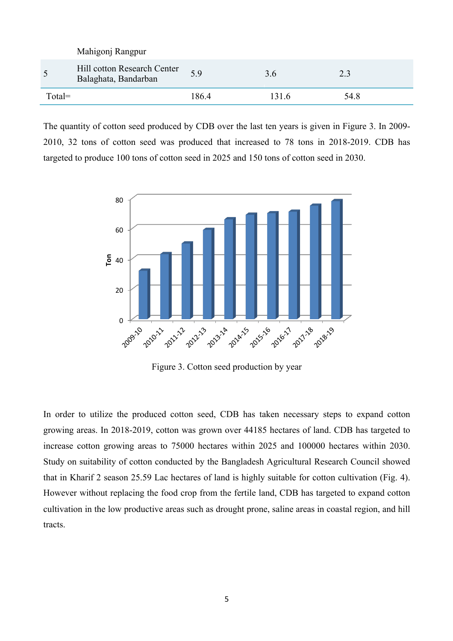| $Total =$       |                                                     | 186.4 | 131.6 | 54.8 |
|-----------------|-----------------------------------------------------|-------|-------|------|
| $5\overline{)}$ | Hill cotton Research Center<br>Balaghata, Bandarban | 5.9   | 3.6   | 2.3  |
|                 | Mahigonj Rangpur                                    |       |       |      |

The quantity of cotton seed produced by CDB over the last ten years is given in Figure 3. In 2009- 2010, 32 tons of cotton seed was produced that increased to 78 tons in 2018-2019. CDB has targeted to produce 100 tons of cotton seed in 2025 and 150 tons of cotton seed in 2030.



Figure 3. Cotton seed production by year

In order to utilize the produced cotton seed, CDB has taken necessary steps to expand cotton growing areas. In 2018-2019, cotton was grown over 44185 hectares of land. CDB has targeted to increase cotton growing areas to 75000 hectares within 2025 and 100000 hectares within 2030. Study on suitability of cotton conducted by the Bangladesh Agricultural Research Council showed that in Kharif 2 season 25.59 Lac hectares of land is highly suitable for cotton cultivation (Fig. 4). However without replacing the food crop from the fertile land, CDB has targeted to expand cotton cultivation in the low productive areas such as drought prone, saline areas in coastal region, and hill tracts.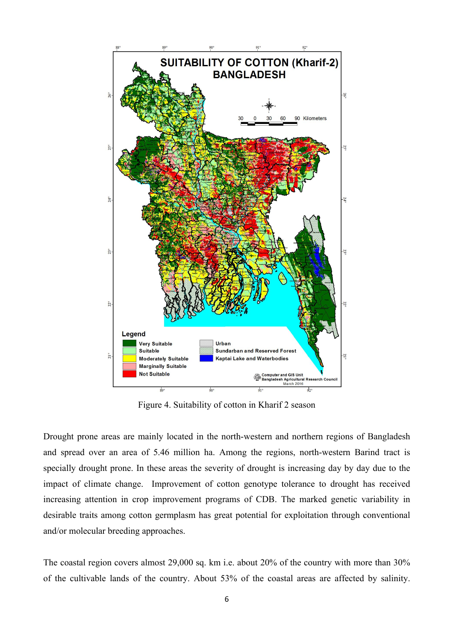

Figure 4. Suitability of cotton in Kharif 2 season

Drought prone areas are mainly located in the north-western and northern regions of Bangladesh and spread over an area of 5.46 million ha. Among the regions, north-western Barind tract is specially drought prone. In these areas the severity of drought is increasing day by day due to the impact of climate change. Improvement of cotton genotype tolerance to drought has received increasing attention in crop improvement programs of CDB. The marked genetic variability in desirable traits among cotton germplasm has great potential for exploitation through conventional and/or molecular breeding approaches.

The coastal region covers almost 29,000 sq. km i.e. about 20% of the country with more than 30% of the cultivable lands of the country. About 53% of the coastal areas are affected by salinity.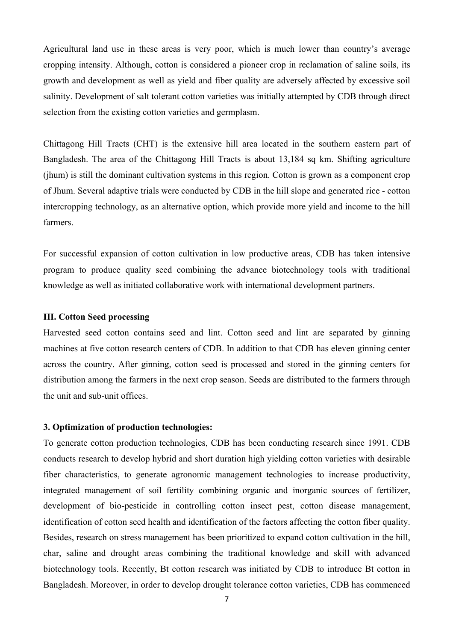Agricultural land use in these areas is very poor, which is much lower than country's average cropping intensity. Although, cotton is considered a pioneer crop in reclamation of saline soils, its growth and development as well as yield and fiber quality are adversely affected by excessive soil salinity. Development of salt tolerant cotton varieties was initially attempted by CDB through direct selection from the existing cotton varieties and germplasm.

Chittagong Hill Tracts (CHT) is the extensive hill area located in the southern eastern part of Bangladesh. The area of the Chittagong Hill Tracts is about 13,184 sq km. Shifting agriculture (jhum) is still the dominant cultivation systems in this region. Cotton is grown as a component crop of Jhum. Several adaptive trials were conducted by CDB in the hill slope and generated rice - cotton intercropping technology, as an alternative option, which provide more yield and income to the hill farmers.

For successful expansion of cotton cultivation in low productive areas, CDB has taken intensive program to produce quality seed combining the advance biotechnology tools with traditional knowledge as well as initiated collaborative work with international development partners.

## **III. Cotton Seed processing**

Harvested seed cotton contains seed and lint. Cotton seed and lint are separated by ginning machines at five cotton research centers of CDB. In addition to that CDB has eleven ginning center across the country. After ginning, cotton seed is processed and stored in the ginning centers for distribution among the farmers in the next crop season. Seeds are distributed to the farmers through the unit and sub-unit offices.

# **3. Optimization of production technologies:**

To generate cotton production technologies, CDB has been conducting research since 1991. CDB conducts research to develop hybrid and short duration high yielding cotton varieties with desirable fiber characteristics, to generate agronomic management technologies to increase productivity, integrated management of soil fertility combining organic and inorganic sources of fertilizer, development of bio-pesticide in controlling cotton insect pest, cotton disease management, identification of cotton seed health and identification of the factors affecting the cotton fiber quality. Besides, research on stress management has been prioritized to expand cotton cultivation in the hill, char, saline and drought areas combining the traditional knowledge and skill with advanced biotechnology tools. Recently, Bt cotton research was initiated by CDB to introduce Bt cotton in Bangladesh. Moreover, in order to develop drought tolerance cotton varieties, CDB has commenced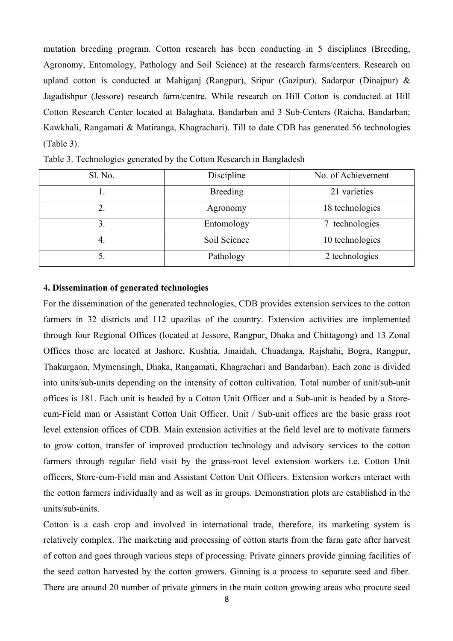mutation breeding program. Cotton research has been conducting in 5 disciplines (Breeding, Agronomy, Entomology, Pathology and Soil Science) at the research farms/centers. Research on upland cotton is conducted at Mahiganj (Rangpur), Sripur (Gazipur), Sadarpur (Dinajpur) & Jagadishpur (Jessore) research farm/centre. While research on Hill Cotton is conducted at Hill Cotton Research Center located at Balaghata, Bandarban and 3 Sub-Centers (Raicha, Bandarban; Kawkhali, Rangamati & Matiranga, Khagrachari). Till to date CDB has generated 56 technologies (Table 3).

| Sl. No. | Discipline      | No. of Achievement |  |
|---------|-----------------|--------------------|--|
|         | <b>Breeding</b> | 21 varieties       |  |
|         | Agronomy        | 18 technologies    |  |
| 3.      | Entomology      | technologies       |  |
| 4.      | Soil Science    | 10 technologies    |  |
| ບ.      | Pathology       | 2 technologies     |  |

Table 3. Technologies generated by the Cotton Research in Bangladesh

#### **4. Dissemination of generated technologies**

For the dissemination of the generated technologies, CDB provides extension services to the cotton farmers in 32 districts and 112 upazilas of the country. Extension activities are implemented through four Regional Offices (located at Jessore, Rangpur, Dhaka and Chittagong) and 13 Zonal Offices those are located at Jashore, Kushtia, Jinaidah, Chuadanga, Rajshahi, Bogra, Rangpur, Thakurgaon, Mymensingh, Dhaka, Rangamati, Khagrachari and Bandarban). Each zone is divided into units/sub-units depending on the intensity of cotton cultivation. Total number of unit/sub-unit offices is 181. Each unit is headed by a Cotton Unit Officer and a Sub-unit is headed by a Storecum-Field man or Assistant Cotton Unit Officer. Unit / Sub-unit offices are the basic grass root level extension offices of CDB. Main extension activities at the field level are to motivate farmers to grow cotton, transfer of improved production technology and advisory services to the cotton farmers through regular field visit by the grass-root level extension workers i.e. Cotton Unit officers, Store-cum-Field man and Assistant Cotton Unit Officers. Extension workers interact with the cotton farmers individually and as well as in groups. Demonstration plots are established in the units/sub-units.

Cotton is a cash crop and involved in international trade, therefore, its marketing system is relatively complex. The marketing and processing of cotton starts from the farm gate after harvest of cotton and goes through various steps of processing. Private ginners provide ginning facilities of the seed cotton harvested by the cotton growers. Ginning is a process to separate seed and fiber. There are around 20 number of private ginners in the main cotton growing areas who procure seed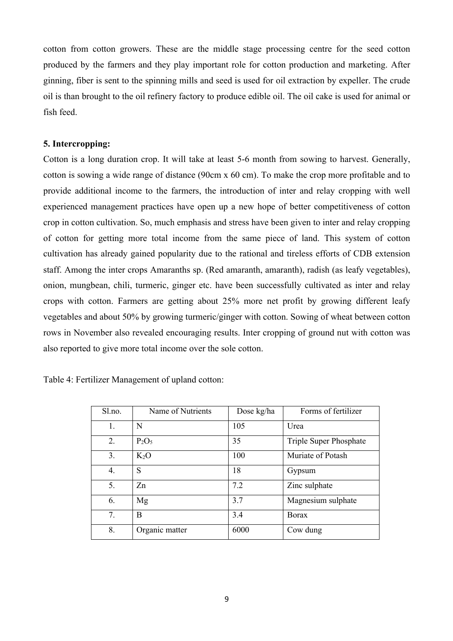cotton from cotton growers. These are the middle stage processing centre for the seed cotton produced by the farmers and they play important role for cotton production and marketing. After ginning, fiber is sent to the spinning mills and seed is used for oil extraction by expeller. The crude oil is than brought to the oil refinery factory to produce edible oil. The oil cake is used for animal or fish feed.

## **5. Intercropping:**

Cotton is a long duration crop. It will take at least 5-6 month from sowing to harvest. Generally, cotton is sowing a wide range of distance (90cm x 60 cm). To make the crop more profitable and to provide additional income to the farmers, the introduction of inter and relay cropping with well experienced management practices have open up a new hope of better competitiveness of cotton crop in cotton cultivation. So, much emphasis and stress have been given to inter and relay cropping of cotton for getting more total income from the same piece of land. This system of cotton cultivation has already gained popularity due to the rational and tireless efforts of CDB extension staff. Among the inter crops Amaranths sp. (Red amaranth, amaranth), radish (as leafy vegetables), onion, mungbean, chili, turmeric, ginger etc. have been successfully cultivated as inter and relay crops with cotton. Farmers are getting about 25% more net profit by growing different leafy vegetables and about 50% by growing turmeric/ginger with cotton. Sowing of wheat between cotton rows in November also revealed encouraging results. Inter cropping of ground nut with cotton was also reported to give more total income over the sole cotton.

| Sl.no. | Name of Nutrients | Dose kg/ha | Forms of fertilizer    |
|--------|-------------------|------------|------------------------|
| 1.     | N                 | 105        | Urea                   |
| 2.     | $P_2O_5$          | 35         | Triple Super Phosphate |
| 3.     | $K_2O$            | 100        | Muriate of Potash      |
| 4.     | S                 | 18         | Gypsum                 |
| 5.     | Zn                | 7.2        | Zinc sulphate          |
| 6.     | Mg                | 3.7        | Magnesium sulphate     |
| 7.     | B                 | 3.4        | <b>B</b> orax          |
| 8.     | Organic matter    | 6000       | Cow dung               |

Table 4: Fertilizer Management of upland cotton: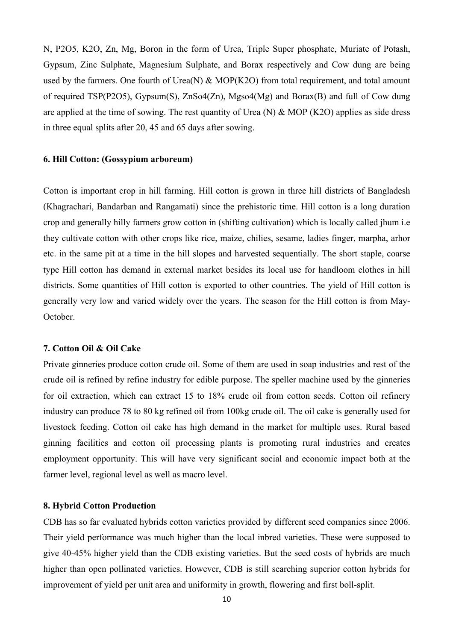N, P2O5, K2O, Zn, Mg, Boron in the form of Urea, Triple Super phosphate, Muriate of Potash, Gypsum, Zinc Sulphate, Magnesium Sulphate, and Borax respectively and Cow dung are being used by the farmers. One fourth of Urea(N) & MOP(K2O) from total requirement, and total amount of required TSP(P2O5), Gypsum(S), ZnSo4(Zn), Mgso4(Mg) and Borax(B) and full of Cow dung are applied at the time of sowing. The rest quantity of Urea (N) & MOP (K2O) applies as side dress in three equal splits after 20, 45 and 65 days after sowing.

## **6. Hill Cotton: (Gossypium arboreum)**

Cotton is important crop in hill farming. Hill cotton is grown in three hill districts of Bangladesh (Khagrachari, Bandarban and Rangamati) since the prehistoric time. Hill cotton is a long duration crop and generally hilly farmers grow cotton in (shifting cultivation) which is locally called jhum i.e they cultivate cotton with other crops like rice, maize, chilies, sesame, ladies finger, marpha, arhor etc. in the same pit at a time in the hill slopes and harvested sequentially. The short staple, coarse type Hill cotton has demand in external market besides its local use for handloom clothes in hill districts. Some quantities of Hill cotton is exported to other countries. The yield of Hill cotton is generally very low and varied widely over the years. The season for the Hill cotton is from May-October.

### **7. Cotton Oil & Oil Cake**

Private ginneries produce cotton crude oil. Some of them are used in soap industries and rest of the crude oil is refined by refine industry for edible purpose. The speller machine used by the ginneries for oil extraction, which can extract 15 to 18% crude oil from cotton seeds. Cotton oil refinery industry can produce 78 to 80 kg refined oil from 100kg crude oil. The oil cake is generally used for livestock feeding. Cotton oil cake has high demand in the market for multiple uses. Rural based ginning facilities and cotton oil processing plants is promoting rural industries and creates employment opportunity. This will have very significant social and economic impact both at the farmer level, regional level as well as macro level.

#### **8. Hybrid Cotton Production**

CDB has so far evaluated hybrids cotton varieties provided by different seed companies since 2006. Their yield performance was much higher than the local inbred varieties. These were supposed to give 40-45% higher yield than the CDB existing varieties. But the seed costs of hybrids are much higher than open pollinated varieties. However, CDB is still searching superior cotton hybrids for improvement of yield per unit area and uniformity in growth, flowering and first boll-split.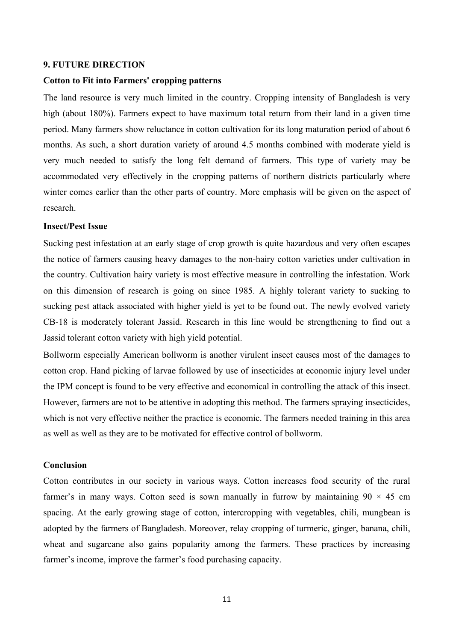# **9. FUTURE DIRECTION**

## **Cotton to Fit into Farmers' cropping patterns**

The land resource is very much limited in the country. Cropping intensity of Bangladesh is very high (about 180%). Farmers expect to have maximum total return from their land in a given time period. Many farmers show reluctance in cotton cultivation for its long maturation period of about 6 months. As such, a short duration variety of around 4.5 months combined with moderate yield is very much needed to satisfy the long felt demand of farmers. This type of variety may be accommodated very effectively in the cropping patterns of northern districts particularly where winter comes earlier than the other parts of country. More emphasis will be given on the aspect of research.

#### **Insect/Pest Issue**

Sucking pest infestation at an early stage of crop growth is quite hazardous and very often escapes the notice of farmers causing heavy damages to the non-hairy cotton varieties under cultivation in the country. Cultivation hairy variety is most effective measure in controlling the infestation. Work on this dimension of research is going on since 1985. A highly tolerant variety to sucking to sucking pest attack associated with higher yield is yet to be found out. The newly evolved variety CB-18 is moderately tolerant Jassid. Research in this line would be strengthening to find out a Jassid tolerant cotton variety with high yield potential.

Bollworm especially American bollworm is another virulent insect causes most of the damages to cotton crop. Hand picking of larvae followed by use of insecticides at economic injury level under the IPM concept is found to be very effective and economical in controlling the attack of this insect. However, farmers are not to be attentive in adopting this method. The farmers spraying insecticides, which is not very effective neither the practice is economic. The farmers needed training in this area as well as well as they are to be motivated for effective control of bollworm.

# **Conclusion**

Cotton contributes in our society in various ways. Cotton increases food security of the rural farmer's in many ways. Cotton seed is sown manually in furrow by maintaining  $90 \times 45$  cm spacing. At the early growing stage of cotton, intercropping with vegetables, chili, mungbean is adopted by the farmers of Bangladesh. Moreover, relay cropping of turmeric, ginger, banana, chili, wheat and sugarcane also gains popularity among the farmers. These practices by increasing farmer's income, improve the farmer's food purchasing capacity.